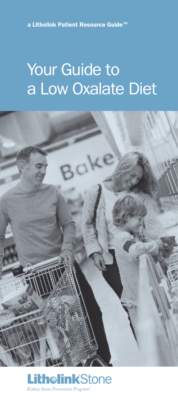a Litholink Patient Resource Guide™

# Your Guide to a Low Oxalate Diet



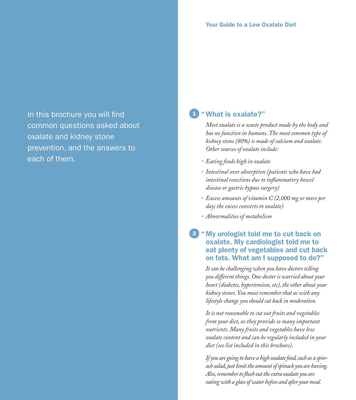In this brochure you will find common questions asked about oxalate and kidney stone prevention, and the answers to each of them.

## "What is oxalate?"

*Most oxalate is a waste product made by the body and has no function in humans. The most common type of kidney stone (80%) is made of calcium and oxalate. Other sources of oxalate include:*

- *• Eating foods high in oxalate*
- *• Intestinal over absorption (patients who have had intestinal resections due to inflammatory bowel disease or gastric bypass surgery)*
- *• Excess amounts of vitamin C (2,000 mg or more per day; the excess converts to oxalate)*
- *• Abnormalities of metabolism*

2

#### "My urologist told me to cut back on oxalate. My cardiologist told me to eat plenty of vegetables and cut back on fats. What am I supposed to do?"

*It can be challenging when you have doctors telling you different things. One doctor is worried about your heart (diabetes, hypertension, etc), the other about your kidney stones. You must remember that as with any lifestyle change you should cut back in moderation.* 

*It is not reasonable to cut out fruits and vegetables from your diet, as they provide so many important nutrients. Many fruits and vegetables have low oxalate content and can be regularly included in your diet (see list included in this brochure).* 

*If you are going to have a high oxalate food, such as a spinach salad, just limit the amount of spinach you are having. Also, remember to flush out the extra oxalate you are eating with a glass of water before and after your meal.*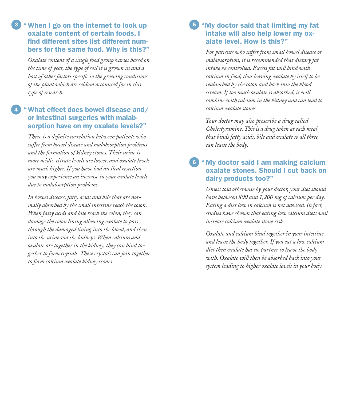#### 3 "When I go on the internet to look up **5** oxalate content of certain foods, I find different sites list different numbers for the same food. Why is this?"

*Oxalate content of a single food group varies based on the time of year, the type of soil it is grown in and a host of other factors specific to the growing conditions of the plant which are seldom accounted for in this type of research.*

#### "What effect does bowel disease and/ or intestinal surgeries with malabsorption have on my oxalate levels?"

4

*There is a definite correlation between patients who suffer from bowel disease and malabsorption problems and the formation of kidney stones. Their urine is more acidic, citrate levels are lower, and oxalate levels are much higher. If you have had an ileal resection you may experience an increase in your oxalate levels due to malabsorption problems.* 

*In bowel disease, fatty acids and bile that are normally absorbed by the small intestine reach the colon. When fatty acids and bile reach the colon, they can damage the colon lining allowing oxalate to pass through the damaged lining into the blood, and then into the urine via the kidneys. When calcium and oxalate are together in the kidney, they can bind together to form crystals. These crystals can join together to form calcium oxalate kidney stones.* 

### 5 "My doctor said that limiting my fat intake will also help lower my oxalate level. How is this?"

*For patients who suffer from small bowel disease or malabsorption, it is recommended that dietary fat intake be controlled. Excess fat will bind with calcium in food, thus leaving oxalate by itself to be reabsorbed by the colon and back into the blood stream. If too much oxalate is absorbed, it will combine with calcium in the kidney and can lead to calcium oxalate stones.* 

*Your doctor may also prescribe a drug called Cholestyramine. This is a drug taken at each meal that binds fatty acids, bile and oxalate so all three can leave the body.* 

## 6 "My doctor said I am making calcium oxalate stones. Should I cut back on dairy products too?"

*Unless told otherwise by your doctor, your diet should have between 800 and 1,200 mg of calcium per day. Eating a diet low in calcium is not advised. In fact, studies have shown that eating low calcium diets will increase calcium oxalate stone risk.* 

*Oxalate and calcium bind together in your intestine and leave the body together. If you eat a low calcium diet then oxalate has no partner to leave the body with. Oxalate will then be absorbed back into your system leading to higher oxalate levels in your body.*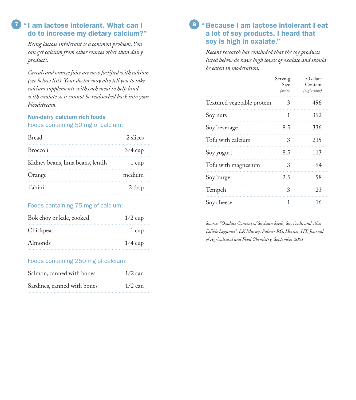### **7** "I am lactose intolerant. What can I do to increase my dietary calcium?"

*Being lactose intolerant is a common problem. You can get calcium from other sources other than dairy products.* 

*Cereals and orange juice are now fortified with calcium (see below list). Your doctor may also tell you to take calcium supplements with each meal to help bind with oxalate so it cannot be reabsorbed back into your bloodstream.* 

## Non-dairy calcium rich foods

#### Foods containing 50 mg of calcium:

| <b>Bread</b>                      | 2 slices  |
|-----------------------------------|-----------|
| <b>Broccoli</b>                   | $3/4$ cup |
| Kidney beans, lima beans, lentils | 1 cup     |
| Orange                            | medium    |
| Tahini                            | 2 tbsp    |

#### Foods containing 75 mg of calcium:

| Bok choy or kale, cooked | $1/2$ cup |
|--------------------------|-----------|
| Chickpeas                | 1 cup     |
| Almonds                  | $1/4$ cup |

#### Foods containing 250 mg of calcium:

| Salmon, canned with bones   | $1/2$ can |
|-----------------------------|-----------|
| Sardines, canned with bones | $1/2$ can |
|                             |           |

## "Because I am lactose intolerant I eat a lot of soy products. I heard that soy is high in oxalate."

*Recent research has concluded that the soy products listed below do have high levels of oxalate and should be eaten in moderation.*

|                            | Serving<br>Size<br>(ounce) | Oxalate<br>Content<br>(mg/serving) |
|----------------------------|----------------------------|------------------------------------|
| Textured vegetable protein | 3                          | 496                                |
| Soy nuts                   | 1                          | 392                                |
| Soy beverage               | 8.5                        | 336                                |
| Tofu with calcium          | 3                          | 235                                |
| Soy yogurt                 | 8.5                        | 113                                |
| Tofu with magnesium        | 3                          | 94                                 |
| Soy burger                 | 2.5                        | 58                                 |
| Tempeh                     | 3                          | 23                                 |
| Soy cheese                 | 1                          | 16                                 |

*Source: "Oxalate Content of Soybean Seeds, Soy foods, and other Edible Legumes", LK Massey, Palmer RG, Horner, HT. Journal of Agricultural and Food Chemistry, September 2001.*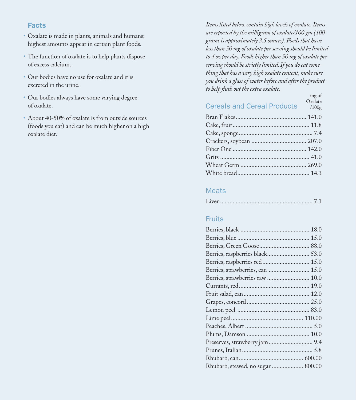## Facts

- Oxalate is made in plants, animals and humans; highest amounts appear in certain plant foods.
- The function of oxalate is to help plants dispose of excess calcium.
- Our bodies have no use for oxalate and it is excreted in the urine.
- Our bodies always have some varying degree of oxalate.
- About 40-50% of oxalate is from outside sources (foods you eat) and can be much higher on a high oxalate diet.

*Items listed below contain high levels of oxalate. Items are reported by the milligram of oxalate/100 gm (100 grams is approximately 3.5 ounces). Foods that have less than 50 mg of oxalate per serving should be limited to 4 oz per day. Foods higher than 50 mg of oxalate per serving should be strictly limited. If you do eat something that has a very high oxalate content, make sure you drink a glass of water before and after the product to help flush out the extra oxalate.*

| <b>Cereals and Cereal Products</b> | mg of<br>Oxalate<br>/100g |
|------------------------------------|---------------------------|
|                                    |                           |
|                                    |                           |
|                                    |                           |
|                                    |                           |
|                                    |                           |
|                                    |                           |
|                                    |                           |
|                                    |                           |

#### **Meats**

#### Fruits

| Berries, raspberries red 15.0     |  |
|-----------------------------------|--|
| Berries, strawberries, can  15.0  |  |
| Berries, strawberries raw  10.0   |  |
|                                   |  |
|                                   |  |
|                                   |  |
|                                   |  |
|                                   |  |
|                                   |  |
|                                   |  |
|                                   |  |
|                                   |  |
|                                   |  |
| Rhubarb, stewed, no sugar  800.00 |  |
|                                   |  |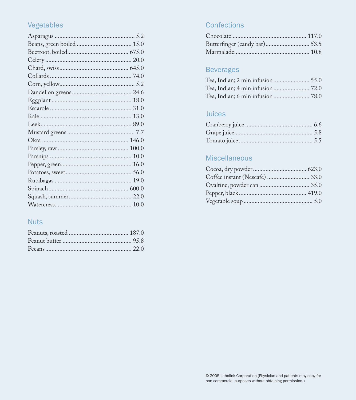# Vegetables

# **Nuts**

# Confections

## **Beverages**

# Juices

# Miscellaneous

| Coffee instant (Nescafe)  33.0 |  |
|--------------------------------|--|
| Ovaltine, powder can  35.0     |  |
|                                |  |
|                                |  |